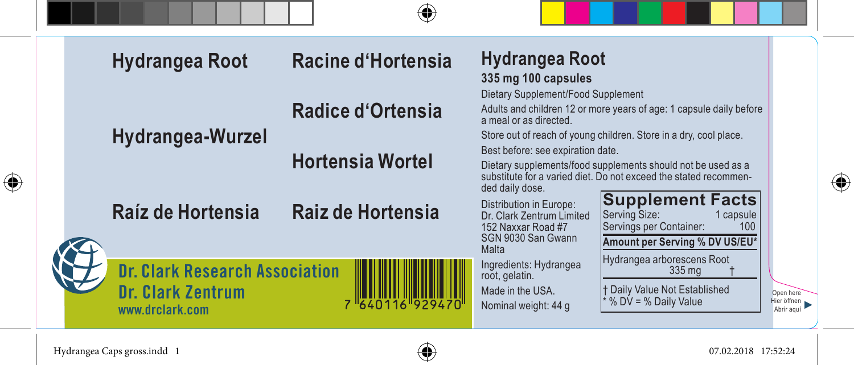| Hydrangea Root                                                                | Racine d'Hortensia       | Hydrangea Root<br>335 mg 100 capsules                                                                                                                                                                                                  |                                        |
|-------------------------------------------------------------------------------|--------------------------|----------------------------------------------------------------------------------------------------------------------------------------------------------------------------------------------------------------------------------------|----------------------------------------|
| Hydrangea-Wurzel                                                              | <b>Radice d'Ortensia</b> | Dietary Supplement/Food Supplement<br>Adults and children 12 or more years of age: 1 capsule daily before<br>a meal or as directed.<br>Store out of reach of young children. Store in a dry, cool place.                               |                                        |
|                                                                               | <b>Hortensia Wortel</b>  | Best before: see expiration date.<br>Dietary supplements/food supplements should not be used as a<br>substitute for a varied diet. Do not exceed the stated recommen-<br>ded daily dose.                                               |                                        |
| Raíz de Hortensia                                                             | Raiz de Hortensia        | <b>Supplement Facts</b><br>Distribution in Europe:<br>Serving Size:<br>1 capsule<br>Dr. Clark Zentrum Limited<br>Servings per Container:<br>152 Naxxar Road #7<br>100<br>SGN 9030 San Gwann<br>Amount per Serving % DV US/EU*<br>Malta |                                        |
| <b>Dr. Clark Research Association</b><br>Dr. Clark Zentrum<br>www.drclark.com | 7 "640116"929470         | Hydrangea arborescens Root<br>Ingredients: Hydrangea<br>335 mg<br>root, gelatin.<br><b>t Daily Value Not Established</b><br>Made in the USA.<br>* % DV = % Daily Value<br>Nominal weight: 44 g                                         | Open here<br>Hier öffnen<br>Abrir aguí |

Hydrangea Caps gross.indd 1 07.02.2018 17:52:24

 $\bigoplus$ 



 $\bigoplus$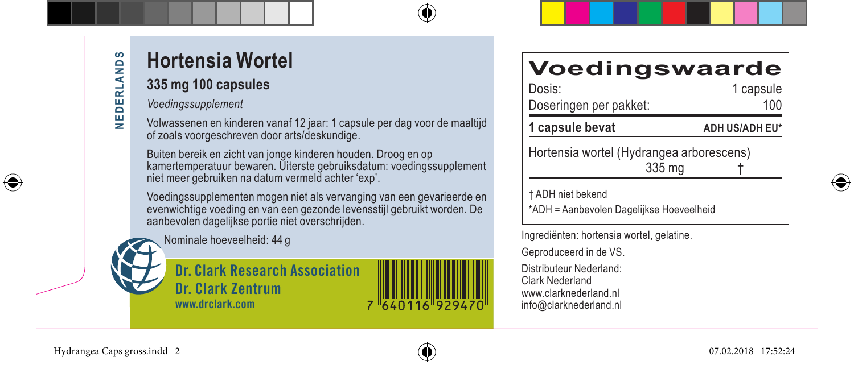⊕

## **Hortensia Wortel**

#### **335 mg 100 capsules**

*Voedingssupplement*

Volwassenen en kinderen vanaf 12 jaar: 1 capsule per dag voor de maaltijd of zoals voorgeschreven door arts/deskundige.

Buiten bereik en zicht van jonge kinderen houden. Droog en op kamertemperatuur bewaren. Uiterste gebruiksdatum: voedingssupplement niet meer gebruiken na datum vermeld achter 'exp'.

Voedingssupplementen mogen niet als vervanging van een gevarieerde en evenwichtige voeding en van een gezonde levensstijl gebruikt worden. De aanbevolen dagelijkse portie niet overschrijden.

Nominale hoeveelheid: 44 g



**Dr. Clark Research Association Dr. Clark Zentrum www.drclark.com**



#### **Voedingswaarde**

| Dosis:                 | 1 capsule             |  |
|------------------------|-----------------------|--|
| Doseringen per pakket: | 100                   |  |
| 1 capsule bevat        | <b>ADH US/ADH EU*</b> |  |
|                        |                       |  |

Hortensia wortel (Hydrangea arborescens) 335 mg †

⊕

† ADH niet bekend

\*ADH = Aanbevolen Dagelijkse Hoeveelheid

Ingrediënten: hortensia wortel, gelatine.

Geproduceerd in de VS.

Distributeur Nederland: Clark Nederland www.clarknederland.nl info@clarknederland.nl

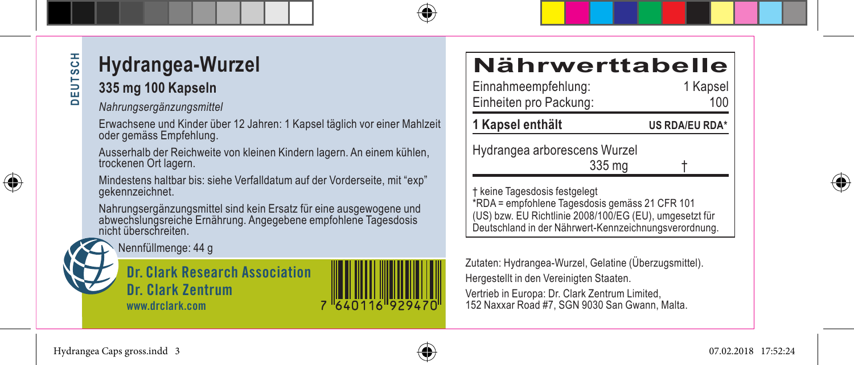### **DEUTSCH DEUTSCH**

⊕

## **Hydrangea-Wurzel**

#### **335 mg 100 Kapseln**

*Nahrungsergänzungsmittel*

Erwachsene und Kinder über 12 Jahren: 1 Kapsel täglich vor einer Mahlzeit oder gemäss Empfehlung.

Ausserhalb der Reichweite von kleinen Kindern lagern. An einem kühlen, trockenen Ort lagern.

Mindestens haltbar bis: siehe Verfalldatum auf der Vorderseite, mit "exp" gekennzeichnet.

Nahrungsergänzungsmittel sind kein Ersatz für eine ausgewogene und abwechslungsreiche Ernährung. Angegebene empfohlene Tagesdosis nicht überschreiten.



Nennfüllmenge: 44 g

**Dr. Clark Research Association Dr. Clark Zentrum www.drclark.com**

# **Nährwerttabelle**<br>Einnahmeempfehlung: 1 Kapsel

Einnahmeempfehlung: Einheiten pro Packung: 100 **1 Kapsel enthält US RDA/EU RDA\***

Hydrangea arborescens Wurzel

335 mg †

† keine Tagesdosis festgelegt \*RDA = empfohlene Tagesdosis gemäss 21 CFR 101 (US) bzw. EU Richtlinie 2008/100/EG (EU), umgesetzt für Deutschland in der Nährwert-Kennzeichnungsverordnung.

Zutaten: Hydrangea-Wurzel, Gelatine (Überzugsmittel). Hergestellt in den Vereinigten Staaten.

Vertrieb in Europa: Dr. Clark Zentrum Limited, 152 Naxxar Road #7, SGN 9030 San Gwann, Malta.





7 640116 929470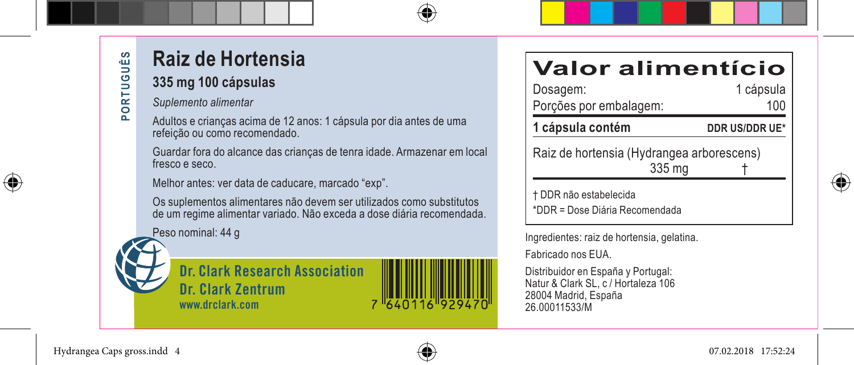⊕

### **Raiz de Hortensia**

#### **335 mg 100 cápsulas**

*Suplemento alimentar*

Adultos e crianças acima de 12 anos: 1 cápsula por dia antes de uma refeição ou como recomendado.

Guardar fora do alcance das crianças de tenra idade. Armazenar em local fresco e seco.

Melhor antes: ver data de caducare, marcado "exp".

Os suplementos alimentares não devem ser utilizados como substitutos de um regime alimentar variado. Não exceda a dose diária recomendada.

Peso nominal: 44 g





# **Valor alimentício**

Dosagem: Porções por embalagem: 100 1 cápsula contém **DDR US/DDR UE\*** 

Raiz de hortensia (Hydrangea arborescens)  $335<sub>ma</sub>$ 

† DDR não estabelecida \*DDR = Dose Diária Recomendada

Ingredientes: raiz de hortensia, gelatina.

Fabricado nos EUA.

Distribuidor en España y Portugal: Natur & Clark SL, c / Hortaleza 106 28004 Madrid, España 26.00011533/M



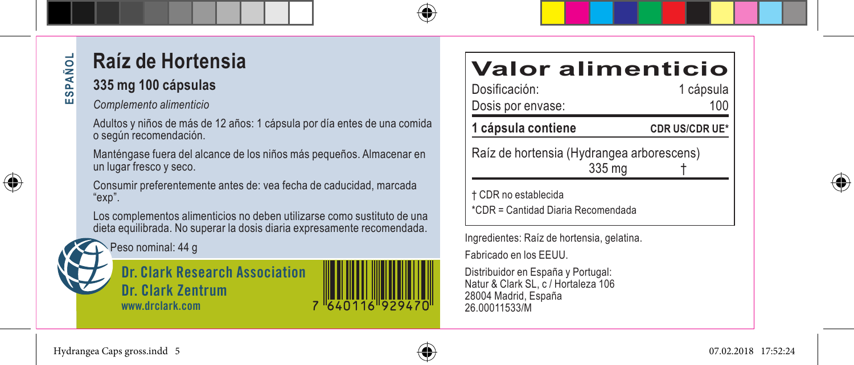### **Raíz de Hortensia**

#### **335 mg 100 cápsulas**

#### *Complemento alimenticio*

Adultos y niños de más de 12 años: 1 cápsula por día entes de una comida o según recomendación.

Manténgase fuera del alcance de los niños más pequeños. Almacenar en un lugar fresco y seco.

Consumir preferentemente antes de: vea fecha de caducidad, marcada "exp".

Los complementos alimenticios no deben utilizarse como sustituto de una dieta equilibrada. No superar la dosis diaria expresamente recomendada.

Peso nominal: 44 g

**Dr. Clark Research Association Dr. Clark Zentrum www.drclark.com**

#### **Valor alimenticio**

| Dosificación:                                                                                                  | 1 cápsula             |  |  |  |
|----------------------------------------------------------------------------------------------------------------|-----------------------|--|--|--|
| Dosis por envase:                                                                                              | 100                   |  |  |  |
| 1 cápsula contiene                                                                                             | <b>CDR US/CDR UE*</b> |  |  |  |
| marked and the state of the Milled and a company of the state of the Milled State of the U.S. and the U.S. And |                       |  |  |  |

Raíz de hortensia (Hydrangea arborescens)  $335<sub>ma</sub>$ 

† CDR no establecida \*CDR = Cantidad Diaria Recomendada

Ingredientes: Raíz de hortensia, gelatina.

Fabricado en los EEUU.

Distribuidor en España y Portugal: Natur & Clark SL, c / Hortaleza 106 28004 Madrid, España 26.00011533/M



**ESPAÑOL** 

**QU** ESPAI

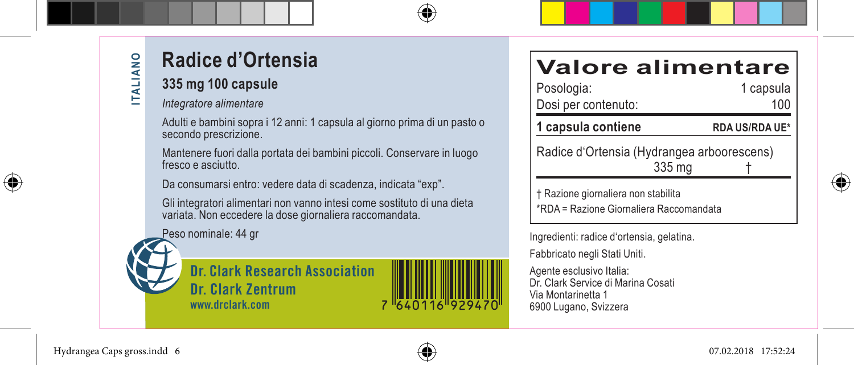### **Radice d'Ortensia**

#### **335 mg 100 capsule**

*Integratore alimentare*

Adulti e bambini sopra i 12 anni: 1 capsula al giorno prima di un pasto o secondo prescrizione.

Mantenere fuori dalla portata dei bambini piccoli. Conservare in luogo fresco e asciutto.

Da consumarsi entro: vedere data di scadenza, indicata "exp".

Gli integratori alimentari non vanno intesi come sostituto di una dieta variata. Non eccedere la dose giornaliera raccomandata.

Peso nominale: 44 gr





### **Valore alimentare**

| Posologia:                                 | 1 capsula             |  |
|--------------------------------------------|-----------------------|--|
| Dosi per contenuto:                        | 100                   |  |
| 1 capsula contiene                         | <b>RDA US/RDA UE*</b> |  |
| Radice d'Ortensia (Hydrangea arboorescens) |                       |  |

 $335 \text{ mg}$ 

† Razione giornaliera non stabilita \*RDA = Razione Giornaliera Raccomandata

Ingredienti: radice d'ortensia, gelatina. Fabbricato negli Stati Uniti.

Agente esclusivo Italia: Dr. Clark Service di Marina Cosati Via Montarinetta 1 6900 Lugano, Svizzera



⊕

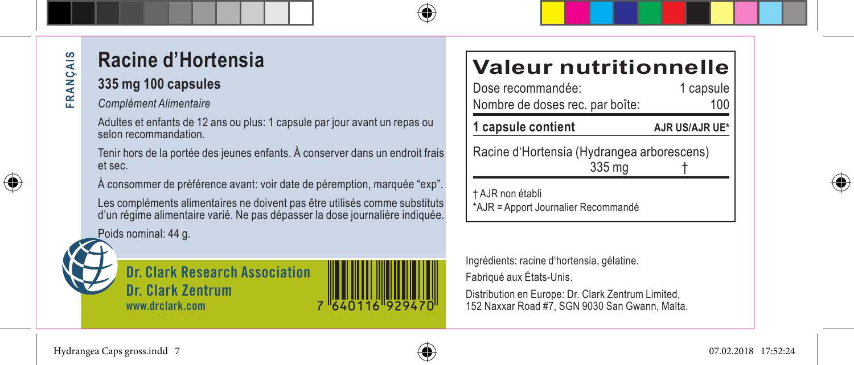### **Racine d'Hortensia**

**335 mg 100 capsules**

*Complément Alimentaire*

Adultes et enfants de 12 ans ou plus: 1 capsule par jour avant un repas ou selon recommandation.

Tenir hors de la portée des jeunes enfants. À conserver dans un endroit frais et sec.

À consommer de préférence avant: voir date de péremption, marquée "exp".

Les compléments alimentaires ne doivent pas être utilisés comme substituts d'un régime alimentaire varié. Ne pas dépasser la dose journalière indiquée.

Poids nominal: 44 g.

**Dr. Clark Research Association Dr. Clark Zentrum www.drclark.com**

# **Valeur nutritionnelle**<br>Dose recommandée:<br>1 capsule

Dose recommandée: Nombre de doses rec. par boîte: 100 1 capsule contient **AJR US/AJR UE\*** 

Racine d'Hortensia (Hydrangea arborescens)  $335<sub>ma</sub>$ 

† AJR non établi \*AJR = Apport Journalier Recommandé

Ingrédients: racine d'hortensia, gélatine. Fabriqué aux États-Unis.

Distribution en Europe: Dr. Clark Zentrum Limited, 152 Naxxar Road #7, SGN 9030 San Gwann, Malta.



⊕